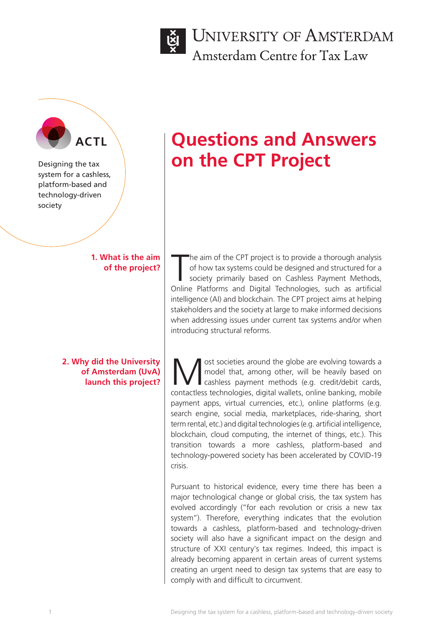

UNIVERSITY OF AMSTERDAM Amsterdam Centre for Tax Law

Designing the tax system for a cashless, platform-based and technology-driven society

> **1. What is the aim of the project?**

**2. Why did the University of Amsterdam (UvA) launch this project?**

# **ACTL ACTL ACTL ACTL ACTL on the CPT Project**

The aim of the CPT project is to provide a thorough analysis of how tax systems could be designed and structured for a society primarily based on Cashless Payment Methods, Online Platforms and Digital Technologies, such as he aim of the CPT project is to provide a thorough analysis of how tax systems could be designed and structured for a society primarily based on Cashless Payment Methods, intelligence (AI) and blockchain. The CPT project aims at helping stakeholders and the society at large to make informed decisions when addressing issues under current tax systems and/or when introducing structural reforms.

ost societies around the globe are evolving towards a<br>model that, among other, will be heavily based on<br>capitalists payment methods (e.g. credit/debit cards,<br>contactless technologies digital wallets, online banking, mobile model that, among other, will be heavily based on cashless payment methods (e.g. credit/debit cards, contactless technologies, digital wallets, online banking, mobile payment apps, virtual currencies, etc.), online platforms (e.g. search engine, social media, marketplaces, ride-sharing, short term rental, etc.) and digital technologies (e.g. artificial intelligence, blockchain, cloud computing, the internet of things, etc.). This transition towards a more cashless, platform-based and technology-powered society has been accelerated by COVID-19 crisis.

Pursuant to historical evidence, every time there has been a major technological change or global crisis, the tax system has evolved accordingly ("for each revolution or crisis a new tax system"). Therefore, everything indicates that the evolution towards a cashless, platform-based and technology-driven society will also have a significant impact on the design and structure of XXI century's tax regimes. Indeed, this impact is already becoming apparent in certain areas of current systems creating an urgent need to design tax systems that are easy to comply with and difficult to circumvent.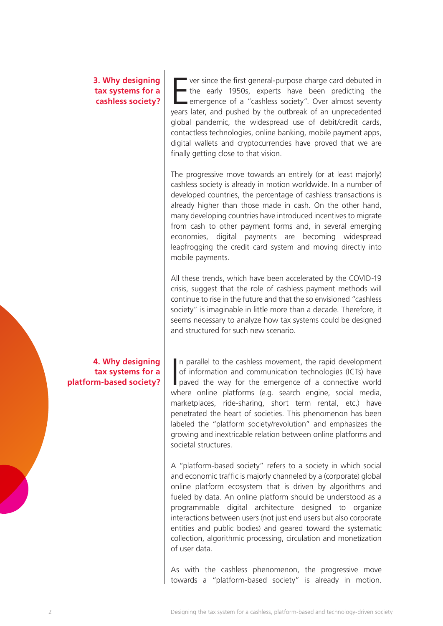### **3. Why designing tax systems for a cashless society?**

E ver since the first general-purpose charge card debuted in the early 1950s, experts have been predicting the emergence of a "cashless society". Over almost seventy years later, and pushed by the outbreak of an unprecedented global pandemic, the widespread use of debit/credit cards, contactless technologies, online banking, mobile payment apps, digital wallets and cryptocurrencies have proved that we are finally getting close to that vision.

The progressive move towards an entirely (or at least majorly) cashless society is already in motion worldwide. In a number of developed countries, the percentage of cashless transactions is already higher than those made in cash. On the other hand, many developing countries have introduced incentives to migrate from cash to other payment forms and, in several emerging economies, digital payments are becoming widespread leapfrogging the credit card system and moving directly into mobile payments.

All these trends, which have been accelerated by the COVID-19 crisis, suggest that the role of cashless payment methods will continue to rise in the future and that the so envisioned "cashless society" is imaginable in little more than a decade. Therefore, it seems necessary to analyze how tax systems could be designed and structured for such new scenario.

 $\overline{\mathbf{I}}$ n parallel to the cashless movement, the rapid development of information and communication technologies (ICTs) have paved the way for the emergence of a connective world where online platforms (e.g. search engine, social media, marketplaces, ride-sharing, short term rental, etc.) have penetrated the heart of societies. This phenomenon has been labeled the "platform society/revolution" and emphasizes the growing and inextricable relation between online platforms and societal structures.

A "platform-based society" refers to a society in which social and economic traffic is majorly channeled by a (corporate) global online platform ecosystem that is driven by algorithms and fueled by data. An online platform should be understood as a programmable digital architecture designed to organize interactions between users (not just end users but also corporate entities and public bodies) and geared toward the systematic collection, algorithmic processing, circulation and monetization of user data.

As with the cashless phenomenon, the progressive move towards a "platform-based society" is already in motion.

**4. Why designing tax systems for a platform-based society?**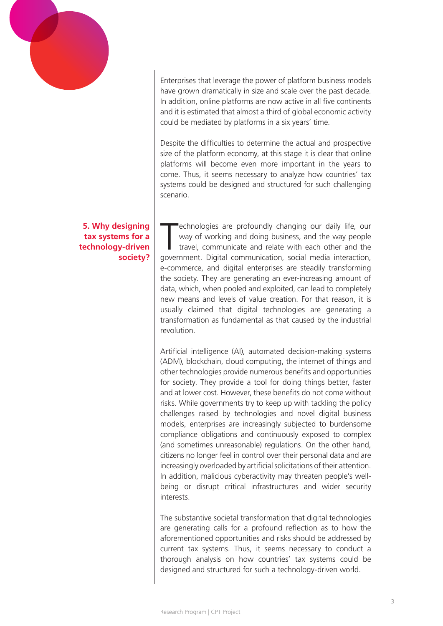

Enterprises that leverage the power of platform business models have grown dramatically in size and scale over the past decade. In addition, online platforms are now active in all five continents and it is estimated that almost a third of global economic activity could be mediated by platforms in a six years' time.

Despite the difficulties to determine the actual and prospective size of the platform economy, at this stage it is clear that online platforms will become even more important in the years to come. Thus, it seems necessary to analyze how countries' tax systems could be designed and structured for such challenging scenario.

echnologies are profoundly changing our daily life, our way of working and doing business, and the way people travel, communicate and relate with each other and the government. Digital communication, social media interacti echnologies are profoundly changing our daily life, our way of working and doing business, and the way people travel, communicate and relate with each other and the e-commerce, and digital enterprises are steadily transforming the society. They are generating an ever-increasing amount of data, which, when pooled and exploited, can lead to completely new means and levels of value creation. For that reason, it is usually claimed that digital technologies are generating a transformation as fundamental as that caused by the industrial revolution.

Artificial intelligence (AI), automated decision-making systems (ADM), blockchain, cloud computing, the internet of things and other technologies provide numerous benefits and opportunities for society. They provide a tool for doing things better, faster and at lower cost. However, these benefits do not come without risks. While governments try to keep up with tackling the policy challenges raised by technologies and novel digital business models, enterprises are increasingly subjected to burdensome compliance obligations and continuously exposed to complex (and sometimes unreasonable) regulations. On the other hand, citizens no longer feel in control over their personal data and are increasingly overloaded by artificial solicitations of their attention. In addition, malicious cyberactivity may threaten people's wellbeing or disrupt critical infrastructures and wider security interests.

The substantive societal transformation that digital technologies are generating calls for a profound reflection as to how the aforementioned opportunities and risks should be addressed by current tax systems. Thus, it seems necessary to conduct a thorough analysis on how countries' tax systems could be designed and structured for such a technology-driven world.

#### **5. Why designing tax systems for a technology-driven society?**